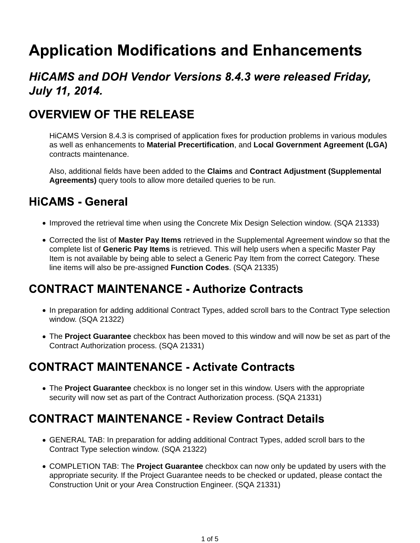# **Application Modifications and Enhancements**

## **HICAMS and DOH Vendor Versions 8.4.3 were released Friday, July 11, 2014.**

## **OVERVIEW OF THE RELEASE**

HiCAMS Version 8.4.3 is comprised of application fixes for production problems in various modules as well as enhancements to **Material Precertification**, and **Local Government Agreement (LGA)** contracts maintenance.

Also, additional fields have been added to the **Claims** and **Contract Adjustment (Supplemental Agreements)** query tools to allow more detailed queries to be run.

## **HiCAMS - General**

- Improved the retrieval time when using the Concrete Mix Design Selection window. (SQA 21333)
- Corrected the list of **Master Pay Items** retrieved in the Supplemental Agreement window so that the complete list of **Generic Pay Items** is retrieved. This will help users when a specific Master Pay Item is not available by being able to select a Generic Pay Item from the correct Category. These line items will also be pre-assigned **Function Codes**. (SQA 21335)

#### **CONTRACT MAINTENANCE - Authorize Contracts**

- In preparation for adding additional Contract Types, added scroll bars to the Contract Type selection window. (SQA 21322)
- The **Project Guarantee** checkbox has been moved to this window and will now be set as part of the Contract Authorization process. (SQA 21331)

#### **CONTRACT MAINTENANCE - Activate Contracts**

The **Project Guarantee** checkbox is no longer set in this window. Users with the appropriate security will now set as part of the Contract Authorization process. (SQA 21331)

## **CONTRACT MAINTENANCE - Review Contract Details**

- GENERAL TAB: In preparation for adding additional Contract Types, added scroll bars to the Contract Type selection window. (SQA 21322)
- COMPLETION TAB: The **Project Guarantee** checkbox can now only be updated by users with the appropriate security. If the Project Guarantee needs to be checked or updated, please contact the Construction Unit or your Area Construction Engineer. (SQA 21331)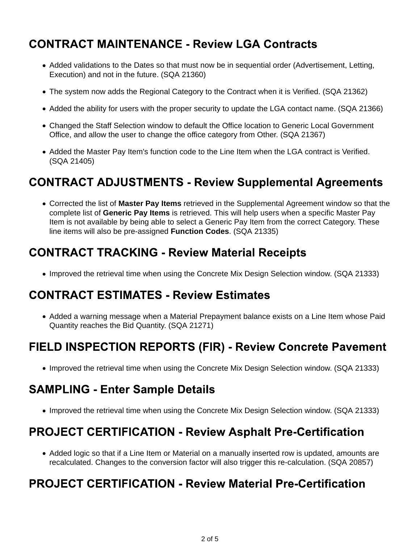## **CONTRACT MAINTENANCE - Review LGA Contracts**

- Added validations to the Dates so that must now be in sequential order (Advertisement, Letting, Execution) and not in the future. (SQA 21360)
- The system now adds the Regional Category to the Contract when it is Verified. (SQA 21362)
- Added the ability for users with the proper security to update the LGA contact name. (SQA 21366)
- Changed the Staff Selection window to default the Office location to Generic Local Government Office, and allow the user to change the office category from Other. (SQA 21367)
- Added the Master Pay Item's function code to the Line Item when the LGA contract is Verified. (SQA 21405)

#### **CONTRACT ADJUSTMENTS - Review Supplemental Agreements**

Corrected the list of **Master Pay Items** retrieved in the Supplemental Agreement window so that the complete list of **Generic Pay Items** is retrieved. This will help users when a specific Master Pay Item is not available by being able to select a Generic Pay Item from the correct Category. These line items will also be pre-assigned **Function Codes**. (SQA 21335)

#### **CONTRACT TRACKING - Review Material Receipts**

• Improved the retrieval time when using the Concrete Mix Design Selection window. (SQA 21333)

#### **CONTRACT ESTIMATES - Review Estimates**

• Added a warning message when a Material Prepayment balance exists on a Line Item whose Paid Quantity reaches the Bid Quantity. (SQA 21271)

## **FIELD INSPECTION REPORTS (FIR) - Review Concrete Pavement**

• Improved the retrieval time when using the Concrete Mix Design Selection window. (SQA 21333)

#### **SAMPLING - Enter Sample Details**

• Improved the retrieval time when using the Concrete Mix Design Selection window. (SQA 21333)

#### **PROJECT CERTIFICATION - Review Asphalt Pre-Certification**

• Added logic so that if a Line Item or Material on a manually inserted row is updated, amounts are recalculated. Changes to the conversion factor will also trigger this re-calculation. (SQA 20857)

#### **PROJECT CERTIFICATION - Review Material Pre-Certification**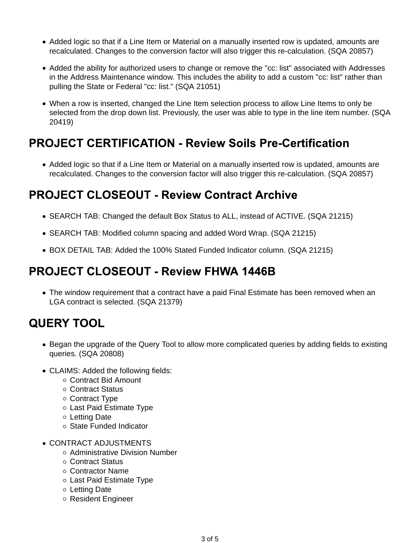- Added logic so that if a Line Item or Material on a manually inserted row is updated, amounts are recalculated. Changes to the conversion factor will also trigger this re-calculation. (SQA 20857)
- Added the ability for authorized users to change or remove the "cc: list" associated with Addresses in the Address Maintenance window. This includes the ability to add a custom "cc: list" rather than pulling the State or Federal "cc: list." (SQA 21051)
- When a row is inserted, changed the Line Item selection process to allow Line Items to only be selected from the drop down list. Previously, the user was able to type in the line item number. (SQA 20419)

## **PROJECT CERTIFICATION - Review Soils Pre-Certification**

• Added logic so that if a Line Item or Material on a manually inserted row is updated, amounts are recalculated. Changes to the conversion factor will also trigger this re-calculation. (SQA 20857)

## **PROJECT CLOSEOUT - Review Contract Archive**

- SEARCH TAB: Changed the default Box Status to ALL, instead of ACTIVE. (SQA 21215)
- SEARCH TAB: Modified column spacing and added Word Wrap. (SQA 21215)
- BOX DETAIL TAB: Added the 100% Stated Funded Indicator column. (SQA 21215)

# **PROJECT CLOSEOUT - Review FHWA 1446B**

• The window requirement that a contract have a paid Final Estimate has been removed when an LGA contract is selected. (SQA 21379)

#### **QUERY TOOL**

- Began the upgrade of the Query Tool to allow more complicated queries by adding fields to existing queries. (SQA 20808)
- CLAIMS: Added the following fields:
	- Contract Bid Amount
	- Contract Status
	- Contract Type
	- Last Paid Estimate Type
	- Letting Date
	- State Funded Indicator
- CONTRACT ADJUSTMENTS
	- Administrative Division Number
	- Contract Status
	- Contractor Name
	- Last Paid Estimate Type
	- Letting Date
	- Resident Engineer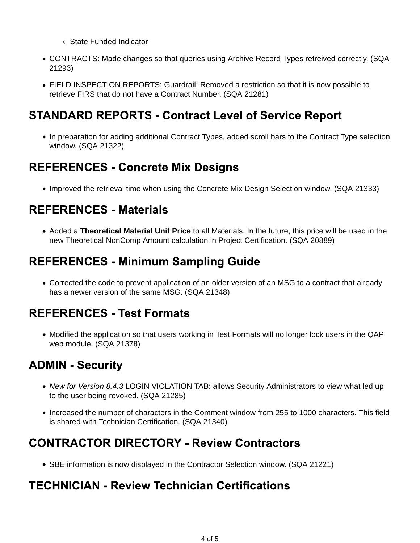- State Funded Indicator
- CONTRACTS: Made changes so that queries using Archive Record Types retreived correctly. (SQA 21293)
- FIELD INSPECTION REPORTS: Guardrail: Removed a restriction so that it is now possible to retrieve FIRS that do not have a Contract Number. (SQA 21281)

## **STANDARD REPORTS - Contract Level of Service Report**

• In preparation for adding additional Contract Types, added scroll bars to the Contract Type selection window. (SQA 21322)

## **REFERENCES - Concrete Mix Designs**

• Improved the retrieval time when using the Concrete Mix Design Selection window. (SQA 21333)

## **REFERENCES - Materials**

Added a **Theoretical Material Unit Price** to all Materials. In the future, this price will be used in the new Theoretical NonComp Amount calculation in Project Certification. (SQA 20889)

## **REFERENCES - Minimum Sampling Guide**

Corrected the code to prevent application of an older version of an MSG to a contract that already has a newer version of the same MSG. (SQA 21348)

## **REFERENCES - Test Formats**

• Modified the application so that users working in Test Formats will no longer lock users in the QAP web module. (SQA 21378)

## **ADMIN - Security**

- *New for Version 8.4.3* LOGIN VIOLATION TAB: allows Security Administrators to view what led up to the user being revoked. (SQA 21285)
- Increased the number of characters in the Comment window from 255 to 1000 characters. This field is shared with Technician Certification. (SQA 21340)

## **CONTRACTOR DIRECTORY - Review Contractors**

• SBE information is now displayed in the Contractor Selection window. (SQA 21221)

## **TECHNICIAN - Review Technician Certifications**